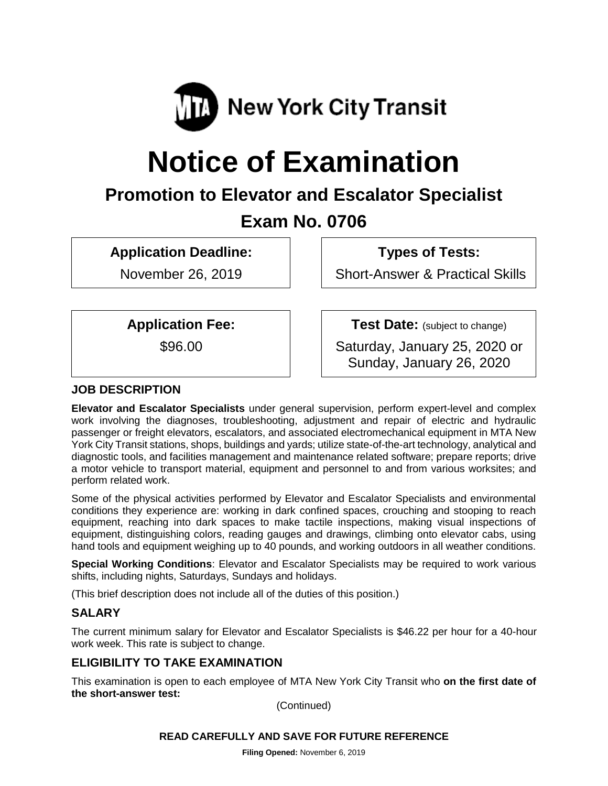

# **Notice of Examination**

# **Promotion to Elevator and Escalator Specialist Exam No. 0706**

**Application Deadline:**

November 26, 2019

**Types of Tests:** 

Short-Answer & Practical Skills

**Application Fee:**

\$96.00

**Test Date:** (subject to change)

Saturday, January 25, 2020 or Sunday, January 26, 2020

# **JOB DESCRIPTION**

**Elevator and Escalator Specialists** under general supervision, perform expert-level and complex work involving the diagnoses, troubleshooting, adjustment and repair of electric and hydraulic passenger or freight elevators, escalators, and associated electromechanical equipment in MTA New York City Transit stations, shops, buildings and yards; utilize state-of-the-art technology, analytical and diagnostic tools, and facilities management and maintenance related software; prepare reports; drive a motor vehicle to transport material, equipment and personnel to and from various worksites; and perform related work.

Some of the physical activities performed by Elevator and Escalator Specialists and environmental conditions they experience are: working in dark confined spaces, crouching and stooping to reach equipment, reaching into dark spaces to make tactile inspections, making visual inspections of equipment, distinguishing colors, reading gauges and drawings, climbing onto elevator cabs, using hand tools and equipment weighing up to 40 pounds, and working outdoors in all weather conditions.

**Special Working Conditions**: Elevator and Escalator Specialists may be required to work various shifts, including nights, Saturdays, Sundays and holidays.

(This brief description does not include all of the duties of this position.)

#### **SALARY**

The current minimum salary for Elevator and Escalator Specialists is \$46.22 per hour for a 40-hour work week. This rate is subject to change.

#### **ELIGIBILITY TO TAKE EXAMINATION**

This examination is open to each employee of MTA New York City Transit who **on the first date of the short-answer test:**

(Continued)

#### **READ CAREFULLY AND SAVE FOR FUTURE REFERENCE**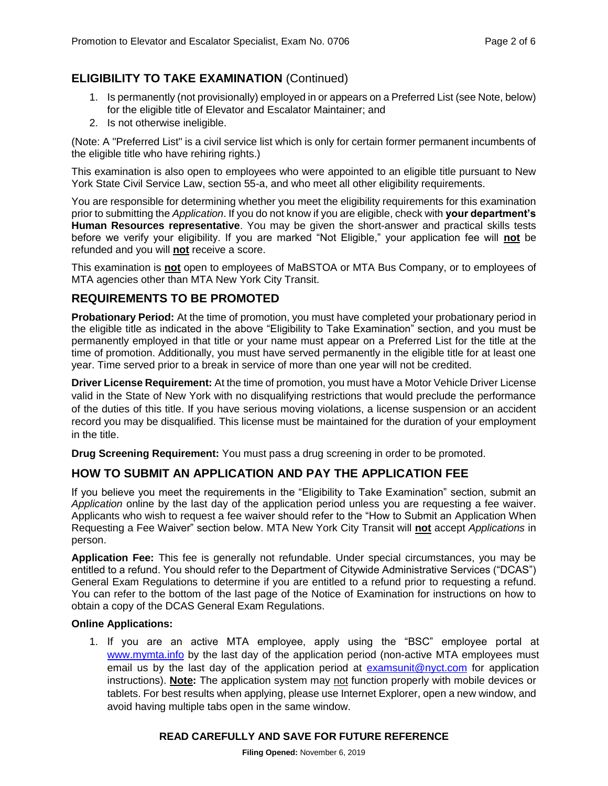# **ELIGIBILITY TO TAKE EXAMINATION** (Continued)

- 1. Is permanently (not provisionally) employed in or appears on a Preferred List (see Note, below) for the eligible title of Elevator and Escalator Maintainer; and
- 2. Is not otherwise ineligible.

(Note: A "Preferred List" is a civil service list which is only for certain former permanent incumbents of the eligible title who have rehiring rights.)

This examination is also open to employees who were appointed to an eligible title pursuant to New York State Civil Service Law, section 55-a, and who meet all other eligibility requirements.

You are responsible for determining whether you meet the eligibility requirements for this examination prior to submitting the *Application*. If you do not know if you are eligible, check with **your department's Human Resources representative**. You may be given the short-answer and practical skills tests before we verify your eligibility. If you are marked "Not Eligible," your application fee will **not** be refunded and you will **not** receive a score.

This examination is **not** open to employees of MaBSTOA or MTA Bus Company, or to employees of MTA agencies other than MTA New York City Transit.

#### **REQUIREMENTS TO BE PROMOTED**

**Probationary Period:** At the time of promotion, you must have completed your probationary period in the eligible title as indicated in the above "Eligibility to Take Examination" section, and you must be permanently employed in that title or your name must appear on a Preferred List for the title at the time of promotion. Additionally, you must have served permanently in the eligible title for at least one year. Time served prior to a break in service of more than one year will not be credited.

**Driver License Requirement:** At the time of promotion, you must have a Motor Vehicle Driver License valid in the State of New York with no disqualifying restrictions that would preclude the performance of the duties of this title. If you have serious moving violations, a license suspension or an accident record you may be disqualified. This license must be maintained for the duration of your employment in the title.

**Drug Screening Requirement:** You must pass a drug screening in order to be promoted.

# **HOW TO SUBMIT AN APPLICATION AND PAY THE APPLICATION FEE**

If you believe you meet the requirements in the "Eligibility to Take Examination" section, submit an *Application* online by the last day of the application period unless you are requesting a fee waiver. Applicants who wish to request a fee waiver should refer to the "How to Submit an Application When Requesting a Fee Waiver" section below. MTA New York City Transit will **not** accept *Applications* in person.

**Application Fee:** This fee is generally not refundable. Under special circumstances, you may be entitled to a refund. You should refer to the Department of Citywide Administrative Services ("DCAS") General Exam Regulations to determine if you are entitled to a refund prior to requesting a refund. You can refer to the bottom of the last page of the Notice of Examination for instructions on how to obtain a copy of the DCAS General Exam Regulations.

#### **Online Applications:**

1. If you are an active MTA employee, apply using the "BSC" employee portal at [www.mymta.info by the](http://www.mymta.info/exams) last day of the application period (non-active MTA employees must email us by the last day of the application period at [examsunit@nyct.com](mailto:examsunit@nyct.com) for application instructions). **Note:** The application system may not function properly with mobile devices or tablets. For best results when applying, please use Internet Explorer, open a new window, and avoid having multiple tabs open in the same window.

#### **READ CAREFULLY AND SAVE FOR FUTURE REFERENCE**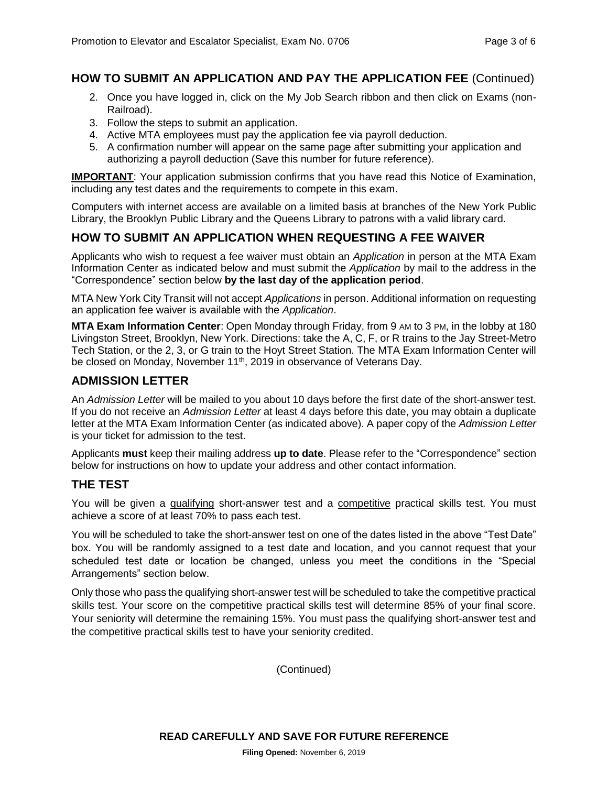#### **HOW TO SUBMIT AN APPLICATION AND PAY THE APPLICATION FEE** (Continued)

- 2. Once you have logged in, click on the My Job Search ribbon and then click on Exams (non-Railroad).
- 3. Follow the steps to submit an application.
- 4. Active MTA employees must pay the application fee via payroll deduction.
- 5. A confirmation number will appear on the same page after submitting your application and authorizing a payroll deduction (Save this number for future reference).

**IMPORTANT**: Your application submission confirms that you have read this Notice of Examination, including any test dates and the requirements to compete in this exam.

Computers with internet access are available on a limited basis at branches of the New York Public Library, the Brooklyn Public Library and the Queens Library to patrons with a valid library card.

#### **HOW TO SUBMIT AN APPLICATION WHEN REQUESTING A FEE WAIVER**

Applicants who wish to request a fee waiver must obtain an *Application* in person at the MTA Exam Information Center as indicated below and must submit the *Application* by mail to the address in the "Correspondence" section below **by the last day of the application period**.

MTA New York City Transit will not accept *Applications* in person. Additional information on requesting an application fee waiver is available with the *Application*.

**MTA Exam Information Center**: Open Monday through Friday, from 9 AM to 3 PM, in the lobby at 180 Livingston Street, Brooklyn, New York. Directions: take the A, C, F, or R trains to the Jay Street-Metro Tech Station, or the 2, 3, or G train to the Hoyt Street Station. The MTA Exam Information Center will be closed on Monday, November 11<sup>th</sup>, 2019 in observance of Veterans Day.

#### **ADMISSION LETTER**

An *Admission Letter* will be mailed to you about 10 days before the first date of the short-answer test. If you do not receive an *Admission Letter* at least 4 days before this date, you may obtain a duplicate letter at the MTA Exam Information Center (as indicated above). A paper copy of the *Admission Letter* is your ticket for admission to the test.

Applicants **must** keep their mailing address **up to date**. Please refer to the "Correspondence" section below for instructions on how to update your address and other contact information.

#### **THE TEST**

You will be given a qualifying short-answer test and a competitive practical skills test. You must achieve a score of at least 70% to pass each test.

You will be scheduled to take the short-answer test on one of the dates listed in the above "Test Date" box. You will be randomly assigned to a test date and location, and you cannot request that your scheduled test date or location be changed, unless you meet the conditions in the "Special Arrangements" section below.

Only those who pass the qualifying short-answer test will be scheduled to take the competitive practical skills test. Your score on the competitive practical skills test will determine 85% of your final score. Your seniority will determine the remaining 15%. You must pass the qualifying short-answer test and the competitive practical skills test to have your seniority credited.

(Continued)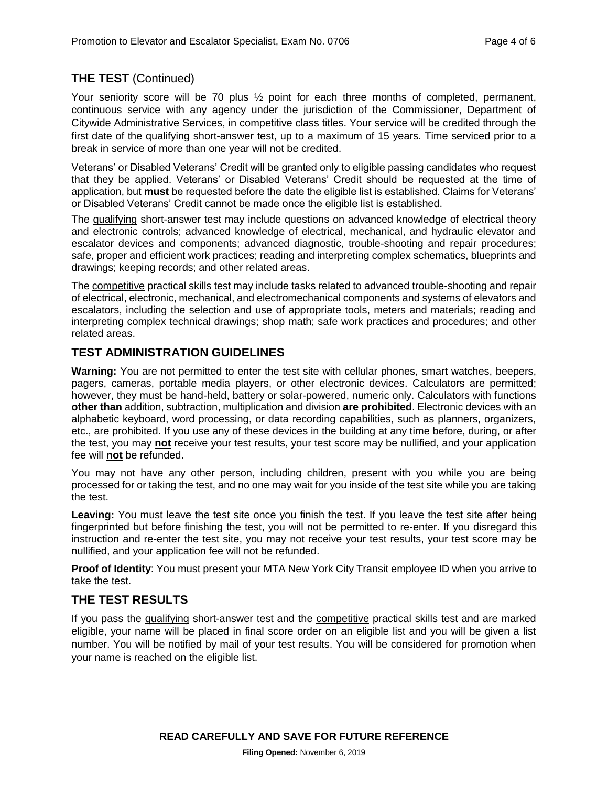# **THE TEST** (Continued)

Your seniority score will be 70 plus  $\frac{1}{2}$  point for each three months of completed, permanent, continuous service with any agency under the jurisdiction of the Commissioner, Department of Citywide Administrative Services, in competitive class titles. Your service will be credited through the first date of the qualifying short-answer test, up to a maximum of 15 years. Time serviced prior to a break in service of more than one year will not be credited.

Veterans' or Disabled Veterans' Credit will be granted only to eligible passing candidates who request that they be applied. Veterans' or Disabled Veterans' Credit should be requested at the time of application, but **must** be requested before the date the eligible list is established. Claims for Veterans' or Disabled Veterans' Credit cannot be made once the eligible list is established.

The qualifying short-answer test may include questions on advanced knowledge of electrical theory and electronic controls; advanced knowledge of electrical, mechanical, and hydraulic elevator and escalator devices and components; advanced diagnostic, trouble-shooting and repair procedures; safe, proper and efficient work practices; reading and interpreting complex schematics, blueprints and drawings; keeping records; and other related areas.

The competitive practical skills test may include tasks related to advanced trouble-shooting and repair of electrical, electronic, mechanical, and electromechanical components and systems of elevators and escalators, including the selection and use of appropriate tools, meters and materials; reading and interpreting complex technical drawings; shop math; safe work practices and procedures; and other related areas.

#### **TEST ADMINISTRATION GUIDELINES**

**Warning:** You are not permitted to enter the test site with cellular phones, smart watches, beepers, pagers, cameras, portable media players, or other electronic devices. Calculators are permitted; however, they must be hand-held, battery or solar-powered, numeric only. Calculators with functions **other than** addition, subtraction, multiplication and division **are prohibited**. Electronic devices with an alphabetic keyboard, word processing, or data recording capabilities, such as planners, organizers, etc., are prohibited. If you use any of these devices in the building at any time before, during, or after the test, you may **not** receive your test results, your test score may be nullified, and your application fee will **not** be refunded.

You may not have any other person, including children, present with you while you are being processed for or taking the test, and no one may wait for you inside of the test site while you are taking the test.

**Leaving:** You must leave the test site once you finish the test. If you leave the test site after being fingerprinted but before finishing the test, you will not be permitted to re-enter. If you disregard this instruction and re-enter the test site, you may not receive your test results, your test score may be nullified, and your application fee will not be refunded.

**Proof of Identity**: You must present your MTA New York City Transit employee ID when you arrive to take the test.

#### **THE TEST RESULTS**

If you pass the qualifying short-answer test and the competitive practical skills test and are marked eligible, your name will be placed in final score order on an eligible list and you will be given a list number. You will be notified by mail of your test results. You will be considered for promotion when your name is reached on the eligible list.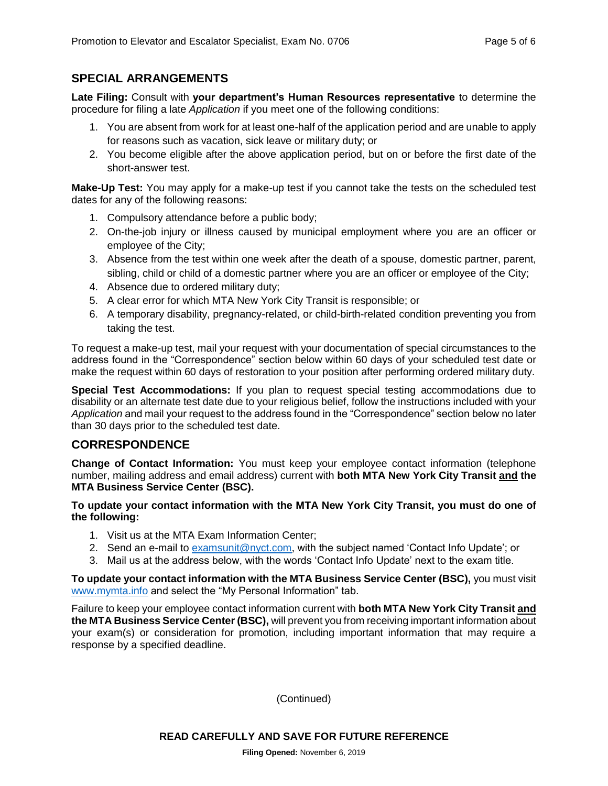#### **SPECIAL ARRANGEMENTS**

**Late Filing:** Consult with **your department's Human Resources representative** to determine the procedure for filing a late *Application* if you meet one of the following conditions:

- 1. You are absent from work for at least one-half of the application period and are unable to apply for reasons such as vacation, sick leave or military duty; or
- 2. You become eligible after the above application period, but on or before the first date of the short-answer test.

**Make-Up Test:** You may apply for a make-up test if you cannot take the tests on the scheduled test dates for any of the following reasons:

- 1. Compulsory attendance before a public body;
- 2. On-the-job injury or illness caused by municipal employment where you are an officer or employee of the City;
- 3. Absence from the test within one week after the death of a spouse, domestic partner, parent, sibling, child or child of a domestic partner where you are an officer or employee of the City;
- 4. Absence due to ordered military duty;
- 5. A clear error for which MTA New York City Transit is responsible; or
- 6. A temporary disability, pregnancy-related, or child-birth-related condition preventing you from taking the test.

To request a make-up test, mail your request with your documentation of special circumstances to the address found in the "Correspondence" section below within 60 days of your scheduled test date or make the request within 60 days of restoration to your position after performing ordered military duty.

**Special Test Accommodations:** If you plan to request special testing accommodations due to disability or an alternate test date due to your religious belief, follow the instructions included with your *Application* and mail your request to the address found in the "Correspondence" section below no later than 30 days prior to the scheduled test date.

#### **CORRESPONDENCE**

**Change of Contact Information:** You must keep your employee contact information (telephone number, mailing address and email address) current with **both MTA New York City Transit and the MTA Business Service Center (BSC).**

#### **To update your contact information with the MTA New York City Transit, you must do one of the following:**

- 1. Visit us at the MTA Exam Information Center;
- 2. Send an e-mail to [examsunit@nyct.com,](mailto:examsunit@nyct.com) with the subject named 'Contact Info Update'; or
- 3. Mail us at the address below, with the words 'Contact Info Update' next to the exam title.

**To update your contact information with the MTA Business Service Center (BSC),** you must visit [www.mymta.info](http://www.mymta.info/) and select the "My Personal Information" tab.

Failure to keep your employee contact information current with **both MTA New York City Transit and the MTA Business Service Center (BSC),** will prevent you from receiving important information about your exam(s) or consideration for promotion, including important information that may require a response by a specified deadline.

(Continued)